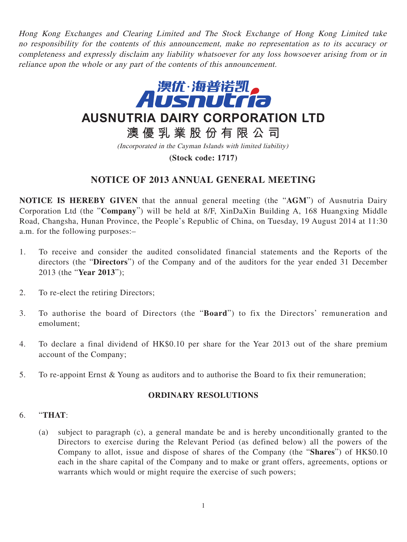Hong Kong Exchanges and Clearing Limited and The Stock Exchange of Hong Kong Limited take no responsibility for the contents of this announcement, make no representation as to its accuracy or completeness and expressly disclaim any liability whatsoever for any loss howsoever arising from or in reliance upon the whole or any part of the contents of this announcement.



**AUSNUTRIA DAIRY CORPORATION LTD**

**澳優乳業股份有限公司**

(Incorporated in the Cayman Islands with limited liability)

**(Stock code: 1717)**

# **NOTICE OF 2013 ANNUAL GENERAL MEETING**

**NOTICE IS HEREBY GIVEN** that the annual general meeting (the "**AGM**") of Ausnutria Dairy Corporation Ltd (the "**Company**") will be held at 8/F, XinDaXin Building A, 168 Huangxing Middle Road, Changsha, Hunan Province, the People's Republic of China, on Tuesday, 19 August 2014 at 11:30 a.m. for the following purposes:–

- 1. To receive and consider the audited consolidated financial statements and the Reports of the directors (the "**Directors**") of the Company and of the auditors for the year ended 31 December 2013 (the "**Year 2013**");
- 2. To re-elect the retiring Directors;
- 3. To authorise the board of Directors (the "**Board**") to fix the Directors' remuneration and emolument;
- 4. To declare a final dividend of HK\$0.10 per share for the Year 2013 out of the share premium account of the Company;
- 5. To re-appoint Ernst & Young as auditors and to authorise the Board to fix their remuneration;

### **ORDINARY RESOLUTIONS**

#### 6. "**THAT**:

(a) subject to paragraph (c), a general mandate be and is hereby unconditionally granted to the Directors to exercise during the Relevant Period (as defined below) all the powers of the Company to allot, issue and dispose of shares of the Company (the "**Shares**") of HK\$0.10 each in the share capital of the Company and to make or grant offers, agreements, options or warrants which would or might require the exercise of such powers;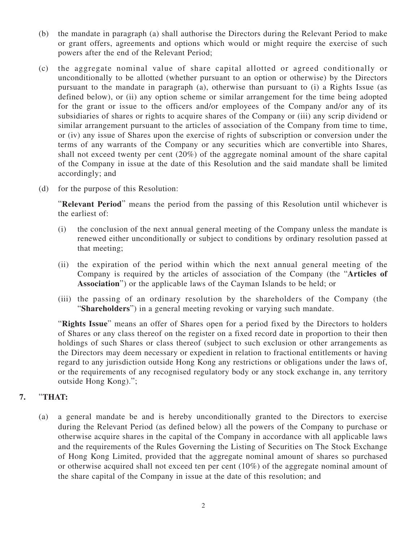- (b) the mandate in paragraph (a) shall authorise the Directors during the Relevant Period to make or grant offers, agreements and options which would or might require the exercise of such powers after the end of the Relevant Period;
- (c) the aggregate nominal value of share capital allotted or agreed conditionally or unconditionally to be allotted (whether pursuant to an option or otherwise) by the Directors pursuant to the mandate in paragraph (a), otherwise than pursuant to (i) a Rights Issue (as defined below), or (ii) any option scheme or similar arrangement for the time being adopted for the grant or issue to the officers and/or employees of the Company and/or any of its subsidiaries of shares or rights to acquire shares of the Company or (iii) any scrip dividend or similar arrangement pursuant to the articles of association of the Company from time to time, or (iv) any issue of Shares upon the exercise of rights of subscription or conversion under the terms of any warrants of the Company or any securities which are convertible into Shares, shall not exceed twenty per cent (20%) of the aggregate nominal amount of the share capital of the Company in issue at the date of this Resolution and the said mandate shall be limited accordingly; and
- (d) for the purpose of this Resolution:

"**Relevant Period**" means the period from the passing of this Resolution until whichever is the earliest of:

- (i) the conclusion of the next annual general meeting of the Company unless the mandate is renewed either unconditionally or subject to conditions by ordinary resolution passed at that meeting;
- (ii) the expiration of the period within which the next annual general meeting of the Company is required by the articles of association of the Company (the "**Articles of Association**") or the applicable laws of the Cayman Islands to be held; or
- (iii) the passing of an ordinary resolution by the shareholders of the Company (the "**Shareholders**") in a general meeting revoking or varying such mandate.

"**Rights Issue**" means an offer of Shares open for a period fixed by the Directors to holders of Shares or any class thereof on the register on a fixed record date in proportion to their then holdings of such Shares or class thereof (subject to such exclusion or other arrangements as the Directors may deem necessary or expedient in relation to fractional entitlements or having regard to any jurisdiction outside Hong Kong any restrictions or obligations under the laws of, or the requirements of any recognised regulatory body or any stock exchange in, any territory outside Hong Kong).";

### **7.** "**THAT:**

(a) a general mandate be and is hereby unconditionally granted to the Directors to exercise during the Relevant Period (as defined below) all the powers of the Company to purchase or otherwise acquire shares in the capital of the Company in accordance with all applicable laws and the requirements of the Rules Governing the Listing of Securities on The Stock Exchange of Hong Kong Limited, provided that the aggregate nominal amount of shares so purchased or otherwise acquired shall not exceed ten per cent (10%) of the aggregate nominal amount of the share capital of the Company in issue at the date of this resolution; and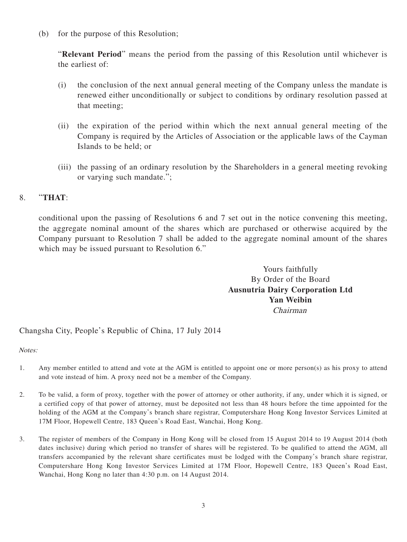(b) for the purpose of this Resolution;

"**Relevant Period**" means the period from the passing of this Resolution until whichever is the earliest of:

- (i) the conclusion of the next annual general meeting of the Company unless the mandate is renewed either unconditionally or subject to conditions by ordinary resolution passed at that meeting;
- (ii) the expiration of the period within which the next annual general meeting of the Company is required by the Articles of Association or the applicable laws of the Cayman Islands to be held; or
- (iii) the passing of an ordinary resolution by the Shareholders in a general meeting revoking or varying such mandate.";

## 8. "**THAT**:

conditional upon the passing of Resolutions 6 and 7 set out in the notice convening this meeting, the aggregate nominal amount of the shares which are purchased or otherwise acquired by the Company pursuant to Resolution 7 shall be added to the aggregate nominal amount of the shares which may be issued pursuant to Resolution 6."

> Yours faithfully By Order of the Board **Ausnutria Dairy Corporation Ltd Yan Weibin** Chairman

### Changsha City, People's Republic of China, 17 July 2014

Notes:

- 1. Any member entitled to attend and vote at the AGM is entitled to appoint one or more person(s) as his proxy to attend and vote instead of him. A proxy need not be a member of the Company.
- 2. To be valid, a form of proxy, together with the power of attorney or other authority, if any, under which it is signed, or a certified copy of that power of attorney, must be deposited not less than 48 hours before the time appointed for the holding of the AGM at the Company's branch share registrar, Computershare Hong Kong Investor Services Limited at 17M Floor, Hopewell Centre, 183 Queen's Road East, Wanchai, Hong Kong.
- 3. The register of members of the Company in Hong Kong will be closed from 15 August 2014 to 19 August 2014 (both dates inclusive) during which period no transfer of shares will be registered. To be qualified to attend the AGM, all transfers accompanied by the relevant share certificates must be lodged with the Company's branch share registrar, Computershare Hong Kong Investor Services Limited at 17M Floor, Hopewell Centre, 183 Queen's Road East, Wanchai, Hong Kong no later than 4:30 p.m. on 14 August 2014.